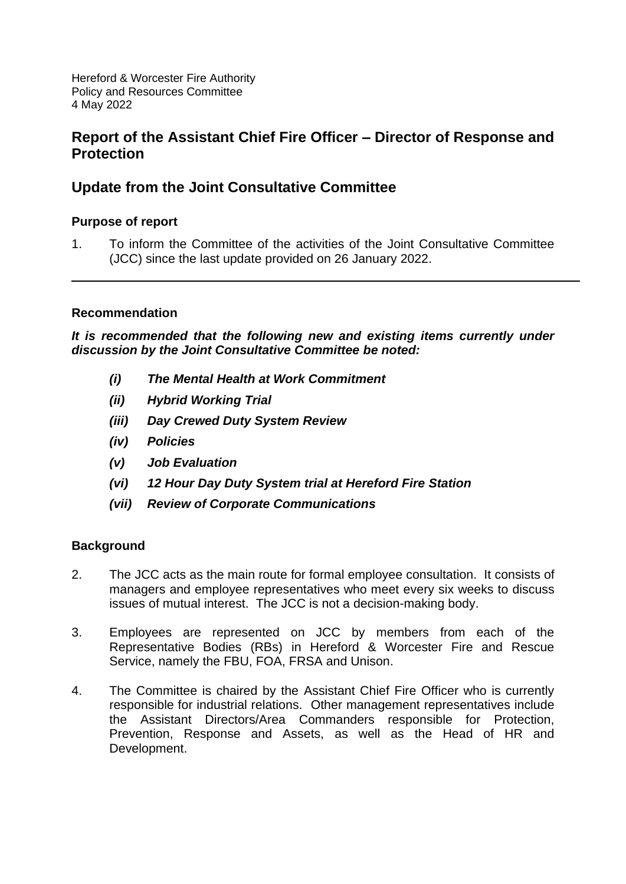Hereford & Worcester Fire Authority Policy and Resources Committee 4 May 2022

# **Report of the Assistant Chief Fire Officer – Director of Response and Protection**

# **Update from the Joint Consultative Committee**

# **Purpose of report**

1. To inform the Committee of the activities of the Joint Consultative Committee (JCC) since the last update provided on 26 January 2022.

# **Recommendation**

*It is recommended that the following new and existing items currently under discussion by the Joint Consultative Committee be noted:*

- *(i) The Mental Health at Work Commitment*
- *(ii) Hybrid Working Trial*
- *(iii) Day Crewed Duty System Review*
- *(iv) Policies*
- *(v) Job Evaluation*
- *(vi) 12 Hour Day Duty System trial at Hereford Fire Station*
- *(vii) Review of Corporate Communications*

# **Background**

- 2. The JCC acts as the main route for formal employee consultation. It consists of managers and employee representatives who meet every six weeks to discuss issues of mutual interest. The JCC is not a decision-making body.
- 3. Employees are represented on JCC by members from each of the Representative Bodies (RBs) in Hereford & Worcester Fire and Rescue Service, namely the FBU, FOA, FRSA and Unison.
- 4. The Committee is chaired by the Assistant Chief Fire Officer who is currently responsible for industrial relations. Other management representatives include the Assistant Directors/Area Commanders responsible for Protection, Prevention, Response and Assets, as well as the Head of HR and Development.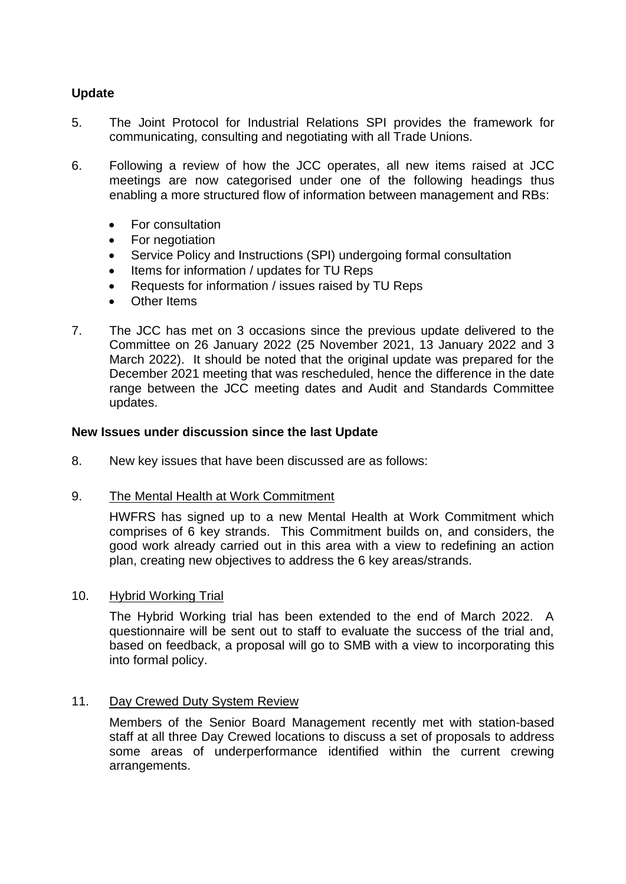# **Update**

- 5. The Joint Protocol for Industrial Relations SPI provides the framework for communicating, consulting and negotiating with all Trade Unions.
- 6. Following a review of how the JCC operates, all new items raised at JCC meetings are now categorised under one of the following headings thus enabling a more structured flow of information between management and RBs:
	- For consultation
	- For negotiation
	- Service Policy and Instructions (SPI) undergoing formal consultation
	- Items for information / updates for TU Reps
	- Requests for information / issues raised by TU Reps
	- Other Items
- 7. The JCC has met on 3 occasions since the previous update delivered to the Committee on 26 January 2022 (25 November 2021, 13 January 2022 and 3 March 2022). It should be noted that the original update was prepared for the December 2021 meeting that was rescheduled, hence the difference in the date range between the JCC meeting dates and Audit and Standards Committee updates.

### **New Issues under discussion since the last Update**

- 8. New key issues that have been discussed are as follows:
- 9. The Mental Health at Work Commitment

HWFRS has signed up to a new Mental Health at Work Commitment which comprises of 6 key strands. This Commitment builds on, and considers, the good work already carried out in this area with a view to redefining an action plan, creating new objectives to address the 6 key areas/strands.

#### 10. Hybrid Working Trial

The Hybrid Working trial has been extended to the end of March 2022. A questionnaire will be sent out to staff to evaluate the success of the trial and, based on feedback, a proposal will go to SMB with a view to incorporating this into formal policy.

## 11. Day Crewed Duty System Review

Members of the Senior Board Management recently met with station-based staff at all three Day Crewed locations to discuss a set of proposals to address some areas of underperformance identified within the current crewing arrangements.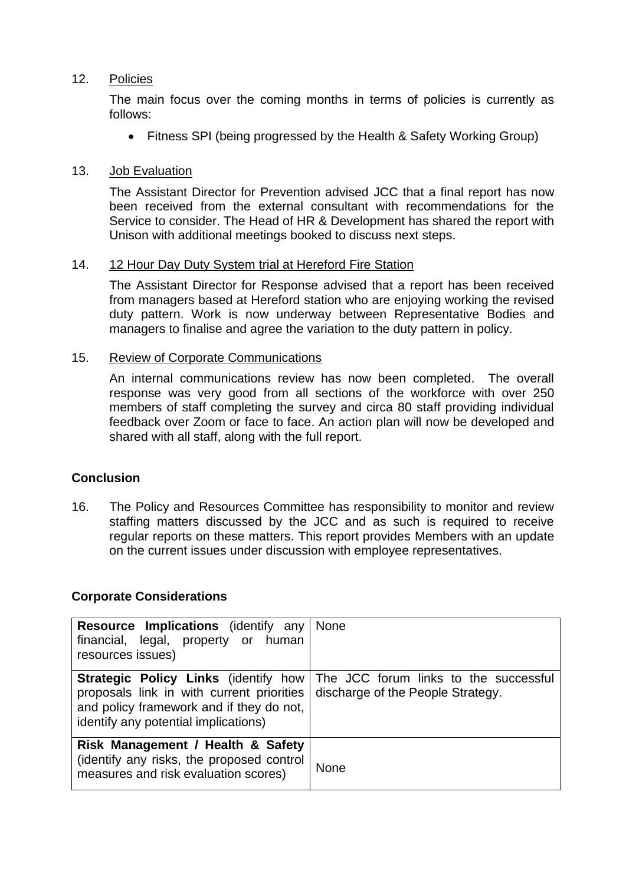## 12. Policies

The main focus over the coming months in terms of policies is currently as follows:

• Fitness SPI (being progressed by the Health & Safety Working Group)

### 13. Job Evaluation

The Assistant Director for Prevention advised JCC that a final report has now been received from the external consultant with recommendations for the Service to consider. The Head of HR & Development has shared the report with Unison with additional meetings booked to discuss next steps.

### 14. 12 Hour Day Duty System trial at Hereford Fire Station

The Assistant Director for Response advised that a report has been received from managers based at Hereford station who are enjoying working the revised duty pattern. Work is now underway between Representative Bodies and managers to finalise and agree the variation to the duty pattern in policy.

### 15. Review of Corporate Communications

An internal communications review has now been completed. The overall response was very good from all sections of the workforce with over 250 members of staff completing the survey and circa 80 staff providing individual feedback over Zoom or face to face. An action plan will now be developed and shared with all staff, along with the full report.

## **Conclusion**

16. The Policy and Resources Committee has responsibility to monitor and review staffing matters discussed by the JCC and as such is required to receive regular reports on these matters. This report provides Members with an update on the current issues under discussion with employee representatives.

#### **Corporate Considerations**

| <b>Resource Implications</b> (identify any<br>financial, legal, property or human<br>resources issues)                                                                       | <b>None</b>                                                                |
|------------------------------------------------------------------------------------------------------------------------------------------------------------------------------|----------------------------------------------------------------------------|
| <b>Strategic Policy Links (identify how</b><br>proposals link in with current priorities<br>and policy framework and if they do not,<br>identify any potential implications) | The JCC forum links to the successful<br>discharge of the People Strategy. |
| Risk Management / Health & Safety<br>(identify any risks, the proposed control<br>measures and risk evaluation scores)                                                       | <b>None</b>                                                                |